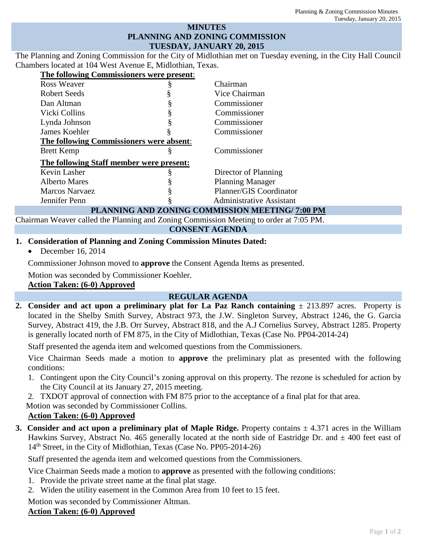### **MINUTES PLANNING AND ZONING COMMISSION TUESDAY, JANUARY 20, 2015**

The Planning and Zoning Commission for the City of Midlothian met on Tuesday evening, in the City Hall Council Chambers located at 104 West Avenue E, Midlothian, Texas.

| The following Commissioners were present: |                                                            |
|-------------------------------------------|------------------------------------------------------------|
| Ross Weaver                               | Chairman                                                   |
| <b>Robert Seeds</b>                       | Vice Chairman                                              |
| Dan Altman                                | Commissioner                                               |
| Vicki Collins                             | Commissioner                                               |
| Lynda Johnson                             | Commissioner                                               |
| James Koehler                             | Commissioner                                               |
| The following Commissioners were absent:  |                                                            |
| <b>Brett Kemp</b>                         | Commissioner                                               |
| The following Staff member were present:  |                                                            |
| Kevin Lasher                              | Director of Planning                                       |
| <b>Alberto Mares</b>                      | <b>Planning Manager</b>                                    |
| <b>Marcos Narvaez</b>                     | Planner/GIS Coordinator                                    |
| Jennifer Penn                             | <b>Administrative Assistant</b>                            |
|                                           | DE L'URITUAL L'UD FLOURILA AOU IL ITANTOUR I INDIBUTOLE AA |

#### **PLANNING AND ZONING COMMISSION MEETING/ 7:00 PM**

Chairman Weaver called the Planning and Zoning Commission Meeting to order at 7:05 PM.

### **CONSENT AGENDA**

### **1. Consideration of Planning and Zoning Commission Minutes Dated:**

• December 16, 2014

Commissioner Johnson moved to **approve** the Consent Agenda Items as presented.

Motion was seconded by Commissioner Koehler.

### **Action Taken: (6-0) Approved**

## **REGULAR AGENDA**

**2.** Consider and act upon a preliminary plat for La Paz Ranch containing  $\pm$  213.897 acres. Property is located in the Shelby Smith Survey, Abstract 973, the J.W. Singleton Survey, Abstract 1246, the G. Garcia Survey, Abstract 419, the J.B. Orr Survey, Abstract 818, and the A.J Cornelius Survey, Abstract 1285. Property is generally located north of FM 875, in the City of Midlothian, Texas (Case No. PP04-2014-24)

Staff presented the agenda item and welcomed questions from the Commissioners.

Vice Chairman Seeds made a motion to **approve** the preliminary plat as presented with the following conditions:

- 1. Contingent upon the City Council's zoning approval on this property. The rezone is scheduled for action by the City Council at its January 27, 2015 meeting.
- 2. TXDOT approval of connection with FM 875 prior to the acceptance of a final plat for that area.

Motion was seconded by Commissioner Collins.

## **Action Taken: (6-0) Approved**

**3. Consider and act upon a preliminary plat of Maple Ridge.** Property contains  $\pm$  4.371 acres in the William Hawkins Survey, Abstract No. 465 generally located at the north side of Eastridge Dr. and  $\pm$  400 feet east of 14<sup>th</sup> Street, in the City of Midlothian, Texas (Case No. PP05-2014-26)

Staff presented the agenda item and welcomed questions from the Commissioners.

Vice Chairman Seeds made a motion to **approve** as presented with the following conditions:

- 1. Provide the private street name at the final plat stage.
- 2. Widen the utility easement in the Common Area from 10 feet to 15 feet.

Motion was seconded by Commissioner Altman.

## **Action Taken: (6-0) Approved**